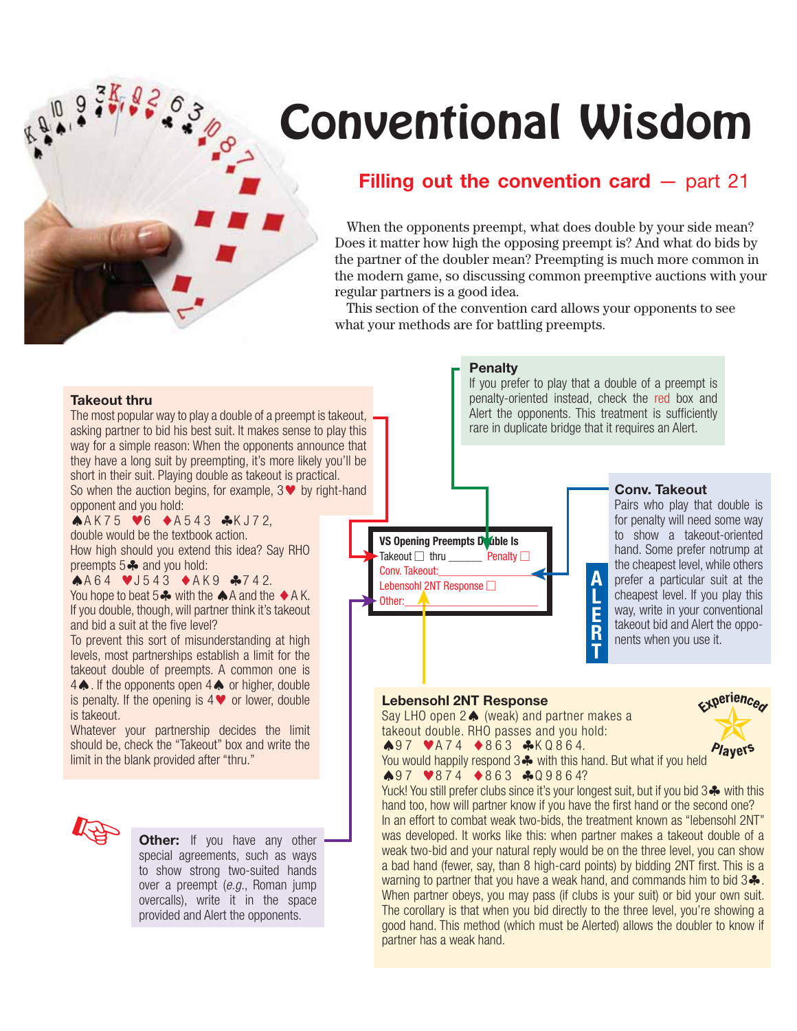## **Filling out the convention card** – part 21

When the opponents preempt, what does double by your side mean? Does it matter how high the opposing preempt is? And what do bids by the partner of the doubler mean? Preempting is much more common in the modern game, so discussing common preemptive auctions with your regular partners is a good idea.

This section of the convention card allows your opponents to see what your methods are for battling preempts.

#### **Takeout thru**

The most popular way to play a double of a preempt is takeout, asking partner to bid his best suit. It makes sense to play this way for a simple reason: When the opponents announce that they have a long suit by preempting, it's more likely you'll be short in their suit. Playing double as takeout is practical. So when the auction begins, for example,  $3 \blacktriangledown$  by right-hand opponent and you hold:

A K 7 5 -6 A 5 4 3 K J 7 2, double would be the textbook action. How high should you extend this idea? Say RHO preempts 5 and you hold:

 $A A 6 4 \quad \text{V} J 5 4 3 \quad A K 9 \quad A 7 4 2.$ 

You hope to beat  $5\clubsuit$  with the A A and the  $\lozenge$  A K. If you double, though, will partner think it's takeout and bid a suit at the five level?

To prevent this sort of misunderstanding at high levels, most partnerships establish a limit for the takeout double of preempts. A common one is 4. If the opponents open 4. or higher, double is penalty. If the opening is  $4 \blacktriangledown$  or lower, double is takeout.

Whatever your partnership decides the limit should be, check the "Takeout" box and write the limit in the blank provided after "thru."



**Other:** If you have any other special agreements, such as ways to show strong two-suited hands over a preempt (*e.g.*, Roman jump overcalls), write it in the space provided and Alert the opponents.

#### **Penalty**

If you prefer to play that a double of a preempt is penalty-oriented instead, check the red box and Alert the opponents. This treatment is sufficiently rare in duplicate bridge that it requires an Alert.

> **A L E R T**



#### **Conv. Takeout**

Pairs who play that double is for penalty will need some way to show a takeout-oriented hand. Some prefer notrump at the cheapest level, while others prefer a particular suit at the cheapest level. If you play this way, write in your conventional takeout bid and Alert the opponents when you use it.

#### **Lebensohl 2NT Response**

Say LHO open  $2 \triangle$  (weak) and partner makes a takeout double. RHO passes and you hold:



 $\bigwedge 97$   $\bigvee 474$   $\bigwedge 863$   $\bigwedge 6864$ . You would happily respond  $3$   $\bullet\bullet$  with this hand. But what if you held  $\bigwedge 97$   $\bigvee 874$   $\bigwedge 863$   $\bigwedge 9864$ ?

Yuck! You still prefer clubs since it's your longest suit, but if you bid  $3\clubsuit$  with this hand too, how will partner know if you have the first hand or the second one? In an effort to combat weak two-bids, the treatment known as "lebensohl 2NT" was developed. It works like this: when partner makes a takeout double of a weak two-bid and your natural reply would be on the three level, you can show a bad hand (fewer, say, than 8 high-card points) by bidding 2NT first. This is a warning to partner that you have a weak hand, and commands him to bid  $3.4$ . When partner obeys, you may pass (if clubs is your suit) or bid your own suit. The corollary is that when you bid directly to the three level, you're showing a good hand. This method (which must be Alerted) allows the doubler to know if partner has a weak hand.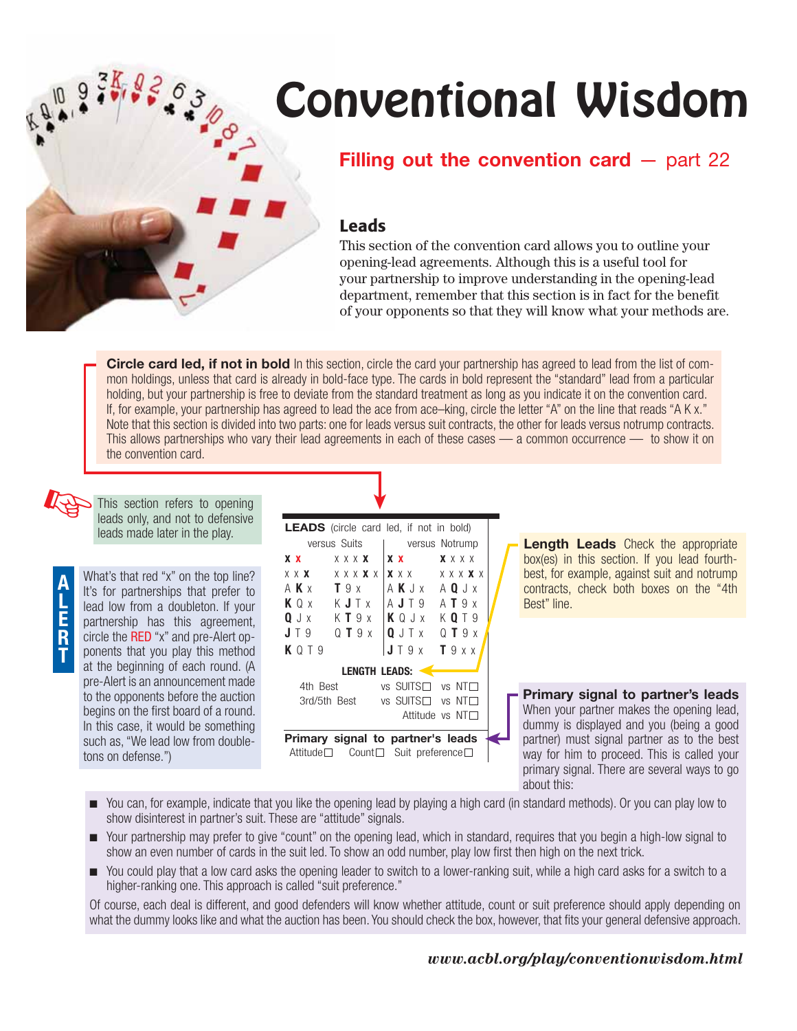## **Filling out the convention card** – part 22

### **Leads**

This section of the convention card allows you to outline your opening-lead agreements. Although this is a useful tool for your partnership to improve understanding in the opening-lead department, remember that this section is in fact for the benefit of your opponents so that they will know what your methods are.

**Circle card led, if not in bold** In this section, circle the card your partnership has agreed to lead from the list of common holdings, unless that card is already in bold-face type. The cards in bold represent the "standard" lead from a particular holding, but your partnership is free to deviate from the standard treatment as long as you indicate it on the convention card. If, for example, your partnership has agreed to lead the ace from ace–king, circle the letter "A" on the line that reads "A K x." Note that this section is divided into two parts: one for leads versus suit contracts, the other for leads versus notrump contracts. This allows partnerships who vary their lead agreements in each of these cases — a common occurrence — to show it on the convention card.

This section refers to opening leads only, and not to defensive leads made later in the play.

**A L E R T**

☞

What's that red "x" on the top line? It's for partnerships that prefer to lead low from a doubleton. If your partnership has this agreement, circle the RED "x" and pre-Alert opponents that you play this method at the beginning of each round. (A pre-Alert is an announcement made to the opponents before the auction begins on the first board of a round. In this case, it would be something such as, "We lead low from doubletons on defense.")

**LEADS** (circle card led, if not in bold) versus Suits | versus Notrump **x x** x x x **x x x x** x x x x x **x** x x x **x** x **x** x x x x x **x** x A **K** x **T** 9 x A **K** J x A **Q** J x **K** Q x  $K$  **J** T x  $A$  **J** T 9 A **T** 9 x **Q** J x K **T** 9 x **K** Q J x K **Q** T 9 **J** T 9 Q **T** 9 x **Q** J T x Q **T** 9 x **K** Q T 9 **J** T 9 x **T** 9 x x  **LENGTH LEADS:** ➤ 4th Best vs SUITS vs NT 3rd/5th Best vs SUITS<sup>O</sup> vs NT<sup>O</sup> Attitude vs NT□ **Primary signal to partner's leads** Attitude  $\Box$  Count  $\Box$  Suit preference  $\Box$ ➤ ➤

**Length Leads** Check the appropriate box(es) in this section. If you lead fourthbest, for example, against suit and notrump contracts, check both boxes on the "4th Best" line.

**Primary signal to partner's leads**  When your partner makes the opening lead, dummy is displayed and you (being a good partner) must signal partner as to the best way for him to proceed. This is called your primary signal. There are several ways to go about this:

- You can, for example, indicate that you like the opening lead by playing a high card (in standard methods). Or you can play low to show disinterest in partner's suit. These are "attitude" signals.
- Your partnership may prefer to give "count" on the opening lead, which in standard, requires that you begin a high-low signal to show an even number of cards in the suit led. To show an odd number, play low first then high on the next trick.
- You could play that a low card asks the opening leader to switch to a lower-ranking suit, while a high card asks for a switch to a higher-ranking one. This approach is called "suit preference."

Of course, each deal is different, and good defenders will know whether attitude, count or suit preference should apply depending on what the dummy looks like and what the auction has been. You should check the box, however, that fits your general defensive approach.

#### *www.acbl.org/play/conventionwisdom.html*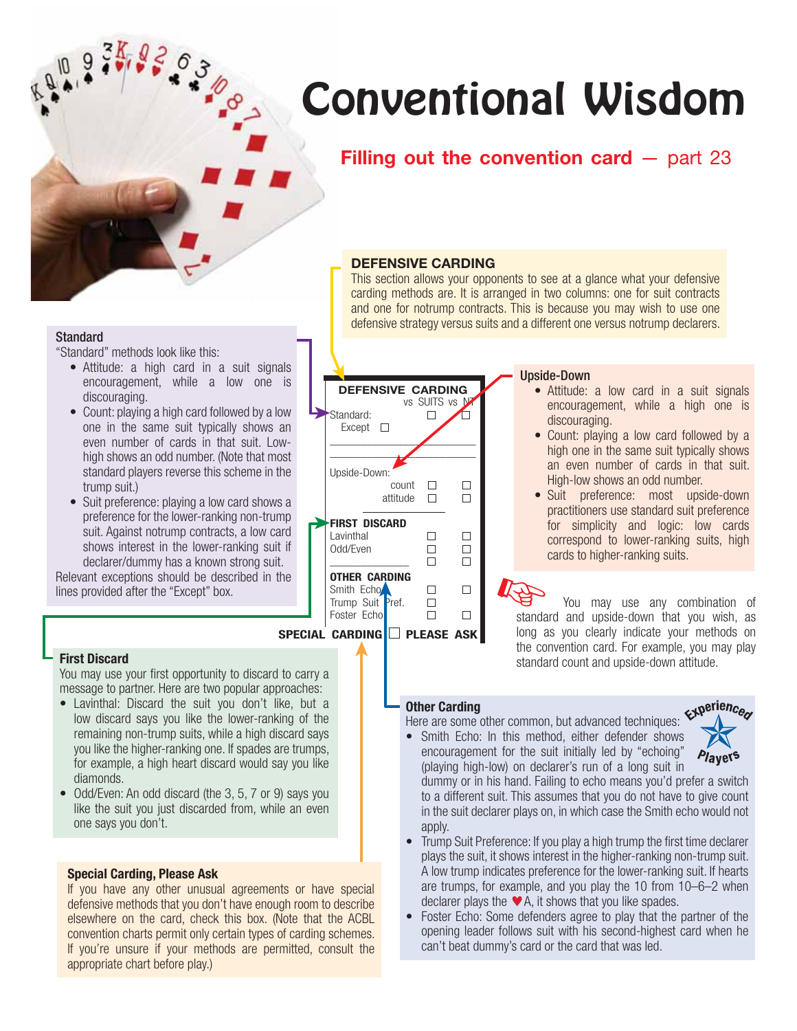### **Filling out the convention card** – part 23

This section allows your opponents to see at a glance what your defensive carding methods are. It is arranged in two columns: one for suit contracts and one for notrump contracts. This is because you may wish to use one defensive strategy versus suits and a different one versus notrump declarers.

#### **Standard**

**First Discard**

"Standard" methods look like this:

- Attitude: a high card in a suit signals encouragement, while a low one is discouraging.
- Count: playing a high card followed by a low one in the same suit typically shows an even number of cards in that suit. Lowhigh shows an odd number. (Note that most standard players reverse this scheme in the trump suit.)
- Suit preference: playing a low card shows a preference for the lower-ranking non-trump suit. Against notrump contracts, a low card shows interest in the lower-ranking suit if declarer/dummy has a known strong suit.

Relevant exceptions should be described in the lines provided after the "Except" box.



**DEFENSIVE CARDING**

#### Upside-Down

- Attitude: a low card in a suit signals encouragement, while a high one is discouraging.
- Count: playing a low card followed by a high one in the same suit typically shows an even number of cards in that suit. High-low shows an odd number.
- Suit preference: most upside-down practitioners use standard suit preference for simplicity and logic: low cards correspond to lower-ranking suits, high cards to higher-ranking suits.

☞ You may use any combination of standard and upside-down that you wish, as long as you clearly indicate your methods on the convention card. For example, you may play standard count and upside-down attitude.

#### **Other Carding**

apply.

Here are some other common, but advanced techniques:

• Smith Echo: In this method, either defender shows encouragement for the suit initially led by "echoing" (playing high-low) on declarer's run of a long suit in



diamonds. • Odd/Even: An odd discard (the 3, 5, 7 or 9) says you like the suit you just discarded from, while an even one says you don't.

You may use your first opportunity to discard to carry a message to partner. Here are two popular approaches: • Lavinthal: Discard the suit you don't like, but a low discard says you like the lower-ranking of the remaining non-trump suits, while a high discard says you like the higher-ranking one. If spades are trumps, for example, a high heart discard would say you like

#### **Special Carding, Please Ask**

If you have any other unusual agreements or have special defensive methods that you don't have enough room to describe elsewhere on the card, check this box. (Note that the ACBL convention charts permit only certain types of carding schemes. If you're unsure if your methods are permitted, consult the appropriate chart before play.)

Trump Suit Preference: If you play a high trump the first time declarer plays the suit, it shows interest in the higher-ranking non-trump suit. A low trump indicates preference for the lower-ranking suit. If hearts are trumps, for example, and you play the 10 from 10–6–2 when declarer plays the  $\blacktriangledown A$ , it shows that you like spades.

dummy or in his hand. Failing to echo means you'd prefer a switch to a different suit. This assumes that you do not have to give count in the suit declarer plays on, in which case the Smith echo would not

• Foster Echo: Some defenders agree to play that the partner of the opening leader follows suit with his second-highest card when he can't beat dummy's card or the card that was led.